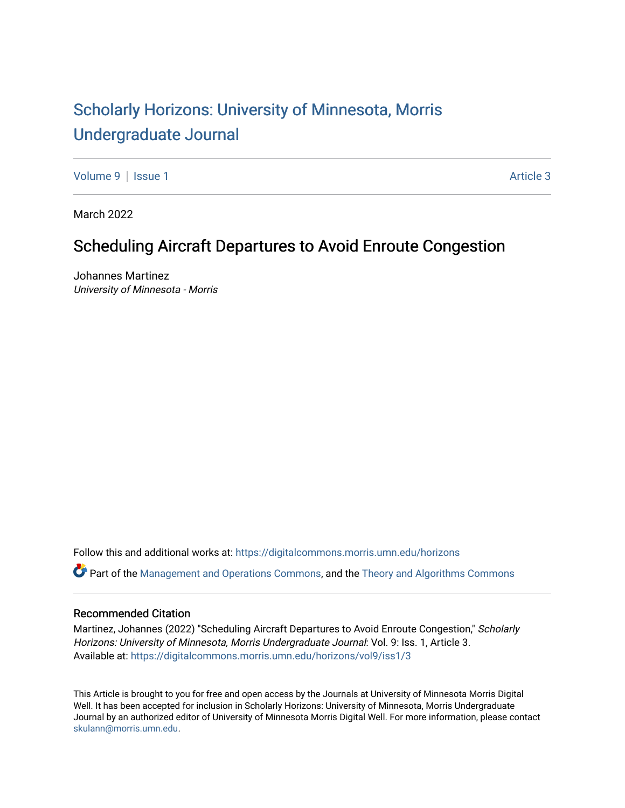## [Scholarly Horizons: University of Minnesota, Morris](https://digitalcommons.morris.umn.edu/horizons) [Undergraduate Journal](https://digitalcommons.morris.umn.edu/horizons)

[Volume 9](https://digitalcommons.morris.umn.edu/horizons/vol9) | [Issue 1](https://digitalcommons.morris.umn.edu/horizons/vol9/iss1) Article 3

March 2022

## Scheduling Aircraft Departures to Avoid Enroute Congestion

Johannes Martinez University of Minnesota - Morris

Follow this and additional works at: [https://digitalcommons.morris.umn.edu/horizons](https://digitalcommons.morris.umn.edu/horizons?utm_source=digitalcommons.morris.umn.edu%2Fhorizons%2Fvol9%2Fiss1%2F3&utm_medium=PDF&utm_campaign=PDFCoverPages) 

Part of the [Management and Operations Commons,](https://network.bepress.com/hgg/discipline/1311?utm_source=digitalcommons.morris.umn.edu%2Fhorizons%2Fvol9%2Fiss1%2F3&utm_medium=PDF&utm_campaign=PDFCoverPages) and the [Theory and Algorithms Commons](https://network.bepress.com/hgg/discipline/151?utm_source=digitalcommons.morris.umn.edu%2Fhorizons%2Fvol9%2Fiss1%2F3&utm_medium=PDF&utm_campaign=PDFCoverPages)

## Recommended Citation

Martinez, Johannes (2022) "Scheduling Aircraft Departures to Avoid Enroute Congestion," Scholarly Horizons: University of Minnesota, Morris Undergraduate Journal: Vol. 9: Iss. 1, Article 3. Available at: [https://digitalcommons.morris.umn.edu/horizons/vol9/iss1/3](https://digitalcommons.morris.umn.edu/horizons/vol9/iss1/3?utm_source=digitalcommons.morris.umn.edu%2Fhorizons%2Fvol9%2Fiss1%2F3&utm_medium=PDF&utm_campaign=PDFCoverPages) 

This Article is brought to you for free and open access by the Journals at University of Minnesota Morris Digital Well. It has been accepted for inclusion in Scholarly Horizons: University of Minnesota, Morris Undergraduate Journal by an authorized editor of University of Minnesota Morris Digital Well. For more information, please contact [skulann@morris.umn.edu.](mailto:skulann@morris.umn.edu)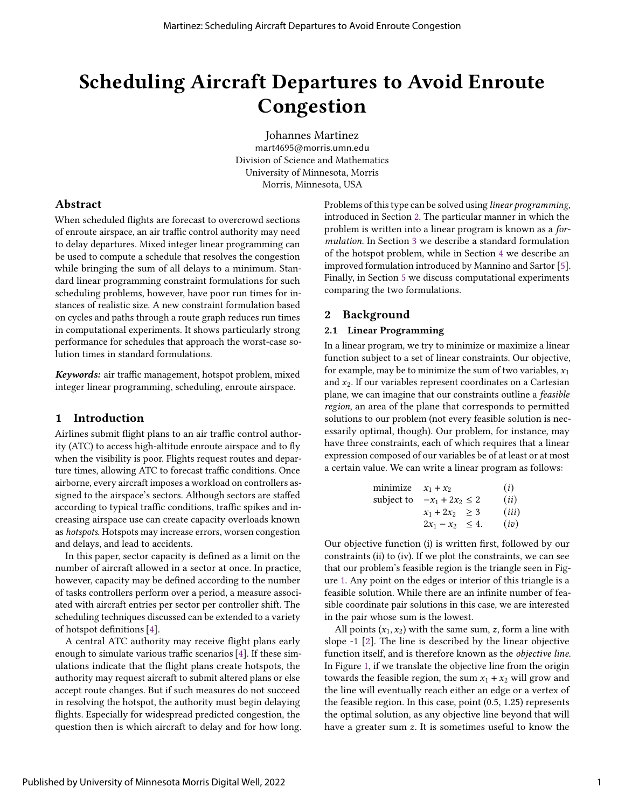# Scheduling Aircraft Departures to Avoid Enroute Congestion

Johannes Martinez mart4695@morris.umn.edu Division of Science and Mathematics University of Minnesota, Morris Morris, Minnesota, USA

## Abstract

When scheduled flights are forecast to overcrowd sections of enroute airspace, an air traffic control authority may need to delay departures. Mixed integer linear programming can be used to compute a schedule that resolves the congestion while bringing the sum of all delays to a minimum. Standard linear programming constraint formulations for such scheduling problems, however, have poor run times for instances of realistic size. A new constraint formulation based on cycles and paths through a route graph reduces run times in computational experiments. It shows particularly strong performance for schedules that approach the worst-case solution times in standard formulations.

Keywords: air traffic management, hotspot problem, mixed integer linear programming, scheduling, enroute airspace.

## 1 Introduction

Airlines submit flight plans to an air traffic control authority (ATC) to access high-altitude enroute airspace and to fly when the visibility is poor. Flights request routes and departure times, allowing ATC to forecast traffic conditions. Once airborne, every aircraft imposes a workload on controllers assigned to the airspace's sectors. Although sectors are staffed according to typical traffic conditions, traffic spikes and increasing airspace use can create capacity overloads known as hotspots. Hotspots may increase errors, worsen congestion and delays, and lead to accidents.

In this paper, sector capacity is defined as a limit on the number of aircraft allowed in a sector at once. In practice, however, capacity may be defined according to the number of tasks controllers perform over a period, a measure associated with aircraft entries per sector per controller shift. The scheduling techniques discussed can be extended to a variety of hotspot definitions [\[4\]](#page-6-0).

A central ATC authority may receive flight plans early enough to simulate various traffic scenarios [\[4\]](#page-6-0). If these simulations indicate that the flight plans create hotspots, the authority may request aircraft to submit altered plans or else accept route changes. But if such measures do not succeed in resolving the hotspot, the authority must begin delaying flights. Especially for widespread predicted congestion, the question then is which aircraft to delay and for how long. Problems of this type can be solved using linear programming, introduced in Section [2.](#page-1-0) The particular manner in which the problem is written into a linear program is known as a formulation. In Section [3](#page-2-0) we describe a standard formulation of the hotspot problem, while in Section [4](#page-5-0) we describe an improved formulation introduced by Mannino and Sartor [\[5\]](#page-6-1). Finally, in Section [5](#page-6-2) we discuss computational experiments comparing the two formulations.

## <span id="page-1-0"></span>2 Background

## 2.1 Linear Programming

In a linear program, we try to minimize or maximize a linear function subject to a set of linear constraints. Our objective, for example, may be to minimize the sum of two variables,  $x_1$ and  $x_2$ . If our variables represent coordinates on a Cartesian plane, we can imagine that our constraints outline a feasible region, an area of the plane that corresponds to permitted solutions to our problem (not every feasible solution is necessarily optimal, though). Our problem, for instance, may have three constraints, each of which requires that a linear expression composed of our variables be of at least or at most a certain value. We can write a linear program as follows:

$$
\begin{array}{ll}\n\text{minimize} & x_1 + x_2 & (i) \\
\text{subject to} & -x_1 + 2x_2 \le 2 & (ii) \\
& x_1 + 2x_2 \ge 3 & (iii) \\
& 2x_1 - x_2 \le 4. & (iv)\n\end{array}
$$

Our objective function (i) is written first, followed by our constraints (ii) to (iv). If we plot the constraints, we can see that our problem's feasible region is the triangle seen in Figure [1.](#page-2-1) Any point on the edges or interior of this triangle is a feasible solution. While there are an infinite number of feasible coordinate pair solutions in this case, we are interested in the pair whose sum is the lowest.

All points  $(x_1, x_2)$  with the same sum, z, form a line with slope -1 [\[2\]](#page-6-3). The line is described by the linear objective function itself, and is therefore known as the objective line. In Figure [1,](#page-2-1) if we translate the objective line from the origin towards the feasible region, the sum  $x_1 + x_2$  will grow and the line will eventually reach either an edge or a vertex of the feasible region. In this case, point (0.5, 1.25) represents the optimal solution, as any objective line beyond that will have a greater sum  $z$ . It is sometimes useful to know the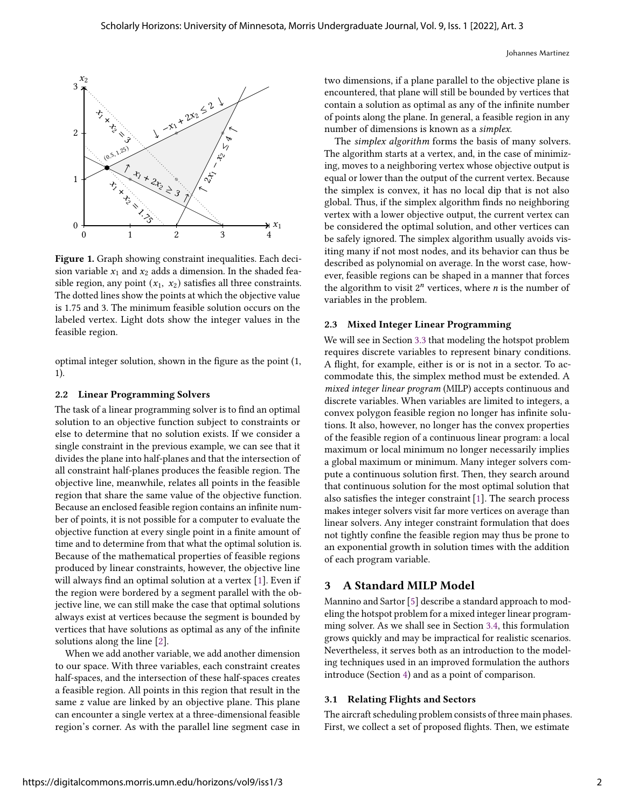<span id="page-2-1"></span>

Figure 1. Graph showing constraint inequalities. Each decision variable  $x_1$  and  $x_2$  adds a dimension. In the shaded feasible region, any point  $(x_1, x_2)$  satisfies all three constraints. The dotted lines show the points at which the objective value is 1.75 and 3. The minimum feasible solution occurs on the labeled vertex. Light dots show the integer values in the feasible region.

optimal integer solution, shown in the figure as the point (1, 1).

#### 2.2 Linear Programming Solvers

The task of a linear programming solver is to find an optimal solution to an objective function subject to constraints or else to determine that no solution exists. If we consider a single constraint in the previous example, we can see that it divides the plane into half-planes and that the intersection of all constraint half-planes produces the feasible region. The objective line, meanwhile, relates all points in the feasible region that share the same value of the objective function. Because an enclosed feasible region contains an infinite number of points, it is not possible for a computer to evaluate the objective function at every single point in a finite amount of time and to determine from that what the optimal solution is. Because of the mathematical properties of feasible regions produced by linear constraints, however, the objective line will always find an optimal solution at a vertex [\[1\]](#page-6-4). Even if the region were bordered by a segment parallel with the objective line, we can still make the case that optimal solutions always exist at vertices because the segment is bounded by vertices that have solutions as optimal as any of the infinite solutions along the line [\[2\]](#page-6-3).

When we add another variable, we add another dimension to our space. With three variables, each constraint creates half-spaces, and the intersection of these half-spaces creates a feasible region. All points in this region that result in the same  $z$  value are linked by an objective plane. This plane can encounter a single vertex at a three-dimensional feasible region's corner. As with the parallel line segment case in two dimensions, if a plane parallel to the objective plane is encountered, that plane will still be bounded by vertices that contain a solution as optimal as any of the infinite number of points along the plane. In general, a feasible region in any number of dimensions is known as a simplex.

The simplex algorithm forms the basis of many solvers. The algorithm starts at a vertex, and, in the case of minimizing, moves to a neighboring vertex whose objective output is equal or lower than the output of the current vertex. Because the simplex is convex, it has no local dip that is not also global. Thus, if the simplex algorithm finds no neighboring vertex with a lower objective output, the current vertex can be considered the optimal solution, and other vertices can be safely ignored. The simplex algorithm usually avoids visiting many if not most nodes, and its behavior can thus be described as polynomial on average. In the worst case, however, feasible regions can be shaped in a manner that forces the algorithm to visit  $2^n$  vertices, where *n* is the number of variables in the problem.

#### 2.3 Mixed Integer Linear Programming

We will see in Section [3.3](#page-3-0) that modeling the hotspot problem requires discrete variables to represent binary conditions. A flight, for example, either is or is not in a sector. To accommodate this, the simplex method must be extended. A mixed integer linear program (MILP) accepts continuous and discrete variables. When variables are limited to integers, a convex polygon feasible region no longer has infinite solutions. It also, however, no longer has the convex properties of the feasible region of a continuous linear program: a local maximum or local minimum no longer necessarily implies a global maximum or minimum. Many integer solvers compute a continuous solution first. Then, they search around that continuous solution for the most optimal solution that also satisfies the integer constraint [\[1\]](#page-6-4). The search process makes integer solvers visit far more vertices on average than linear solvers. Any integer constraint formulation that does not tightly confine the feasible region may thus be prone to an exponential growth in solution times with the addition of each program variable.

### <span id="page-2-0"></span>3 A Standard MILP Model

Mannino and Sartor [\[5\]](#page-6-1) describe a standard approach to modeling the hotspot problem for a mixed integer linear programming solver. As we shall see in Section [3.4,](#page-4-0) this formulation grows quickly and may be impractical for realistic scenarios. Nevertheless, it serves both as an introduction to the modeling techniques used in an improved formulation the authors introduce (Section [4\)](#page-5-0) and as a point of comparison.

#### 3.1 Relating Flights and Sectors

The aircraft scheduling problem consists of three main phases. First, we collect a set of proposed flights. Then, we estimate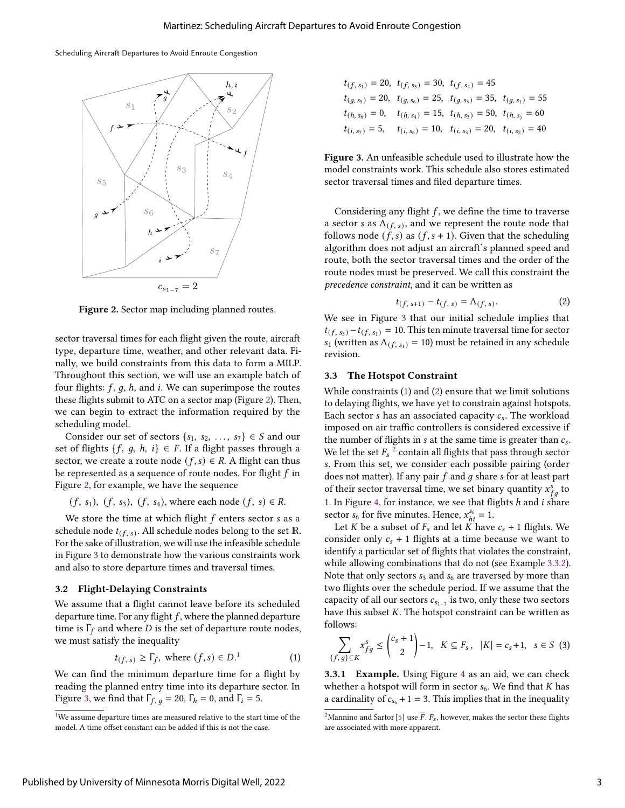#### Scheduling Aircraft Departures to Avoid Enroute Congestion

<span id="page-3-1"></span>

Figure 2. Sector map including planned routes.

sector traversal times for each flight given the route, aircraft type, departure time, weather, and other relevant data. Finally, we build constraints from this data to form a MILP. Throughout this section, we will use an example batch of four flights:  $f$ ,  $g$ ,  $h$ , and  $i$ . We can superimpose the routes these flights submit to ATC on a sector map (Figure [2\)](#page-3-1). Then, we can begin to extract the information required by the scheduling model.

Consider our set of sectors  $\{s_1, s_2, ..., s_7\} \in S$  and our set of flights  $\{f, g, h, i\} \in F$ . If a flight passes through a sector, we create a route node  $(f, s) \in R$ . A flight can thus be represented as a sequence of route nodes. For flight  $f$  in Figure [2,](#page-3-1) for example, we have the sequence

$$
(f, s_1)
$$
,  $(f, s_3)$ ,  $(f, s_4)$ , where each node  $(f, s) \in R$ .

We store the time at which flight  $f$  enters sector  $s$  as a schedule node  $t_{(f, s)}$ . All schedule nodes belong to the set  $\mathbb R$ . For the sake of illustration, we will use the infeasible schedule in Figure [3](#page-3-2) to demonstrate how the various constraints work and also to store departure times and traversal times.

#### 3.2 Flight-Delaying Constraints

We assume that a flight cannot leave before its scheduled departure time. For any flight  $f$ , where the planned departure time is  $\Gamma_f$  and where *D* is the set of departure route nodes, we must satisfy the inequality

<span id="page-3-4"></span>
$$
t_{(f, s)} \ge \Gamma_f, \text{ where } (f, s) \in D^{1}.
$$
 (1)

We can find the minimum departure time for a flight by reading the planned entry time into its departure sector. In Figure [3,](#page-3-2) we find that  $\Gamma_{f, q} = 20$ ,  $\Gamma_h = 0$ , and  $\Gamma_i = 5$ .

<span id="page-3-2"></span>
$$
t_{(f, s_1)} = 20, \ t_{(f, s_3)} = 30, \ t_{(f, s_4)} = 45
$$
  
\n
$$
t_{(g, s_5)} = 20, \ t_{(g, s_6)} = 25, \ t_{(g, s_3)} = 35, \ t_{(g, s_1)} = 55
$$
  
\n
$$
t_{(h, s_6)} = 0, \ t_{(h, s_4)} = 15, \ t_{(h, s_3)} = 50, \ t_{(h, s)} = 60
$$
  
\n
$$
t_{(i, s_7)} = 5, \ t_{(i, s_6)} = 10, \ t_{(i, s_3)} = 20, \ t_{(i, s_2)} = 40
$$

Figure 3. An unfeasible schedule used to illustrate how the model constraints work. This schedule also stores estimated sector traversal times and filed departure times.

Considering any flight  $f$ , we define the time to traverse a sector *s* as  $\Lambda$ <sub>(f, s)</sub>, and we represent the route node that follows node  $(f, s)$  as  $(f, s + 1)$ . Given that the scheduling algorithm does not adjust an aircraft's planned speed and route, both the sector traversal times and the order of the route nodes must be preserved. We call this constraint the precedence constraint, and it can be written as

<span id="page-3-5"></span>
$$
t_{(f, s+1)} - t_{(f, s)} = \Lambda_{(f, s)}.
$$
 (2)

We see in Figure [3](#page-3-2) that our initial schedule implies that  $t_{(f, s_3)} - t_{(f, s_1)} = 10$ . This ten minute traversal time for sector  $s_1$  (written as  $\Lambda_{(f, s_1)} = 10$ ) must be retained in any schedule revision.

## <span id="page-3-0"></span>3.3 The Hotspot Constraint

While constraints [\(1\)](#page-3-4) and [\(2\)](#page-3-5) ensure that we limit solutions to delaying flights, we have yet to constrain against hotspots. Each sector  $s$  has an associated capacity  $c_s$ . The workload imposed on air traffic controllers is considered excessive if the number of flights in  $s$  at the same time is greater than  $c_s$ . We let the set  $F_s^{-2}$  $F_s^{-2}$  $F_s^{-2}$  contain all flights that pass through sector . From this set, we consider each possible pairing (order does not matter). If any pair  $f$  and  $g$  share  $s$  for at least part of their sector traversal time, we set binary quantity  $x_{fa}^s$  to 1. In Figure [4,](#page-4-1) for instance, we see that flights  $h$  and  $i$  share sector  $s_6$  for five minutes. Hence,  $x_{hi}^{s_6} = 1$ .

Let *K* be a subset of  $F_s$  and let  $\ddot{K}$  have  $c_s + 1$  flights. We consider only  $c_s + 1$  flights at a time because we want to identify a particular set of flights that violates the constraint, while allowing combinations that do not (see Example [3.3.2\)](#page-4-2). Note that only sectors  $s_3$  and  $s_6$  are traversed by more than two flights over the schedule period. If we assume that the capacity of all our sectors  $c_{s_{1-7}}$  is two, only these two sectors have this subset  $K$ . The hotspot constraint can be written as follows:

<span id="page-3-7"></span>
$$
\sum_{\{f,g\}\subseteq K} x_{fg}^s \le \binom{c_s+1}{2} - 1, \quad K \subseteq F_s, \quad |K| = c_s + 1, \quad s \in S \tag{3}
$$

3.3.1 Example. Using Figure [4](#page-4-1) as an aid, we can check whether a hotspot will form in sector  $s_6$ . We find that K has a cardinality of  $c_{s_6} + 1 = 3$ . This implies that in the inequality

<span id="page-3-3"></span><sup>&</sup>lt;sup>1</sup>We assume departure times are measured relative to the start time of the model. A time offset constant can be added if this is not the case.

<span id="page-3-6"></span><sup>&</sup>lt;sup>2</sup>Mannino and Sartor [\[5\]](#page-6-1) use  $\overline{F}$ .  $F_s$ , however, makes the sector these flights are associated with more apparent.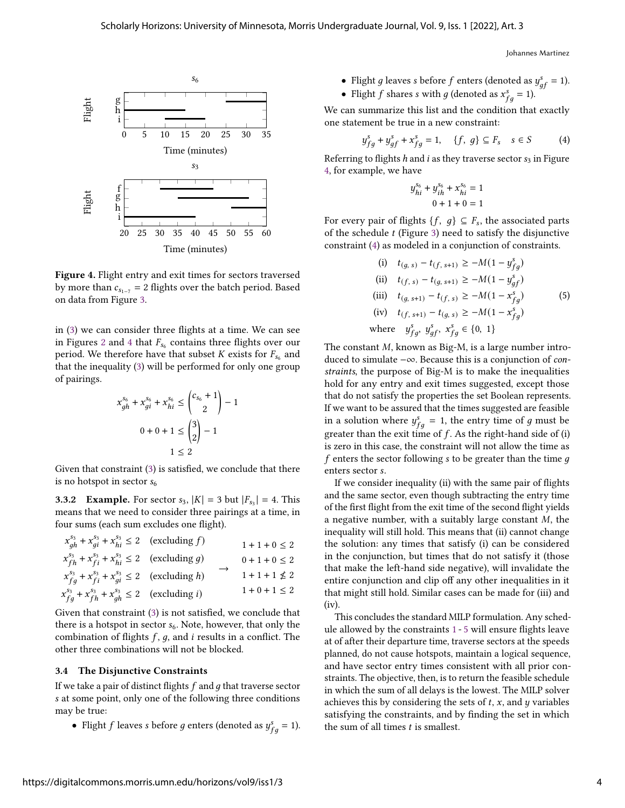Johannes Martinez

<span id="page-4-1"></span>

Figure 4. Flight entry and exit times for sectors traversed by more than  $c_{s_{1-7}} = 2$  flights over the batch period. Based on data from Figure [3.](#page-3-2)

in [\(3\)](#page-3-7) we can consider three flights at a time. We can see in Figures [2](#page-3-1) and [4](#page-4-1) that  $F_{s_6}$  contains three flights over our period. We therefore have that subset K exists for  $F_{s_6}$  and that the inequality [\(3\)](#page-3-7) will be performed for only one group of pairings.

$$
x_{gh}^{s_6} + x_{gi}^{s_6} + x_{hi}^{s_6} \le \binom{c_{s_6} + 1}{2} - 1
$$
  
0 + 0 + 1 \le \binom{3}{2} - 1  
1 \le 2

Given that constraint [\(3\)](#page-3-7) is satisfied, we conclude that there is no hotspot in sector  $s_6$ 

<span id="page-4-2"></span>**3.3.2 Example.** For sector  $s_3$ ,  $|K| = 3$  but  $|F_{s_3}| = 4$ . This means that we need to consider three pairings at a time, in four sums (each sum excludes one flight).

| $x_{ah}^{s_3} + x_{qi}^{s_3} + x_{hi}^{s_3} \le 2$ (excluding f)         |  | $1+1+0\leq 2$     |
|--------------------------------------------------------------------------|--|-------------------|
| $x_{fh}^{s_3} + x_{fi}^{s_3} + x_{hi}^{s_3} \le 2$ (excluding g)         |  | $0+1+0\leq 2$     |
| $x_{fq}^{s_3} + x_{fi}^{s_3} + x_{qi}^{s_3} \le 2$ (excluding h)         |  | $1+1+1\not\leq 2$ |
| $x_{fq}^{s_3} + x_{fh}^{s_3} + x_{gh}^{s_3} \le 2$ (excluding <i>i</i> ) |  | $1+0+1\leq 2$     |

Given that constraint [\(3\)](#page-3-7) is not satisfied, we conclude that there is a hotspot in sector  $s_6$ . Note, however, that only the combination of flights  $f$ ,  $g$ , and  $i$  results in a conflict. The other three combinations will not be blocked.

#### <span id="page-4-0"></span>3.4 The Disjunctive Constraints

If we take a pair of distinct flights  $f$  and  $g$  that traverse sector at some point, only one of the following three conditions may be true:

• Flight f leaves s before g enters (denoted as  $y_{fa}^s = 1$ ).

- Flight *g* leaves *s* before *f* enters (denoted as  $y_{af}^s = 1$ ).
- Flight *f* shares *s* with *g* (denoted as  $x_{fa}^s = 1$ ).

We can summarize this list and the condition that exactly one statement be true in a new constraint:

<span id="page-4-3"></span>
$$
y_{fg}^s + y_{gf}^s + x_{fg}^s = 1, \quad \{f, g\} \subseteq F_s \quad s \in S \tag{4}
$$

Referring to flights h and i as they traverse sector  $s_3$  in Figure [4,](#page-4-1) for example, we have

<span id="page-4-4"></span>
$$
y_{hi}^{s_6} + y_{ih}^{s_6} + x_{hi}^{s_6} = 1
$$
  

$$
0 + 1 + 0 = 1
$$

For every pair of flights  $\{f, g\} \subseteq F_s$ , the associated parts of the schedule  $t$  (Figure [3\)](#page-3-2) need to satisfy the disjunctive constraint [\(4\)](#page-4-3) as modeled in a conjunction of constraints.

(i) 
$$
t_{(g, s)} - t_{(f, s+1)} \ge -M(1 - y_{fg}^s)
$$
  
\n(ii)  $t_{(f, s)} - t_{(g, s+1)} \ge -M(1 - y_{gf}^s)$   
\n(iii)  $t_{(g, s+1)} - t_{(f, s)} \ge -M(1 - x_{fg}^s)$   
\n(iv)  $t_{(f, s+1)} - t_{(g, s)} \ge -M(1 - x_{fg}^s)$   
\nwhere  $y_{fg}^s, y_{gf}^s, x_{fg}^s \in \{0, 1\}$ 

The constant  $M$ , known as Big-M, is a large number introduced to simulate −∞. Because this is a conjunction of constraints, the purpose of Big-M is to make the inequalities hold for any entry and exit times suggested, except those that do not satisfy the properties the set Boolean represents. If we want to be assured that the times suggested are feasible in a solution where  $y_{fa}^s = 1$ , the entry time of g must be greater than the exit time of  $f$ . As the right-hand side of (i) is zero in this case, the constraint will not allow the time as f enters the sector following s to be greater than the time  $q$ enters sector s.

If we consider inequality (ii) with the same pair of flights and the same sector, even though subtracting the entry time of the first flight from the exit time of the second flight yields a negative number, with a suitably large constant  $M$ , the inequality will still hold. This means that (ii) cannot change the solution: any times that satisfy (i) can be considered in the conjunction, but times that do not satisfy it (those that make the left-hand side negative), will invalidate the entire conjunction and clip off any other inequalities in it that might still hold. Similar cases can be made for (iii) and (iv).

This concludes the standard MILP formulation. Any schedule allowed by the constraints [1](#page-3-4) - [5](#page-4-4) will ensure flights leave at of after their departure time, traverse sectors at the speeds planned, do not cause hotspots, maintain a logical sequence, and have sector entry times consistent with all prior constraints. The objective, then, is to return the feasible schedule in which the sum of all delays is the lowest. The MILP solver achieves this by considering the sets of  $t$ ,  $x$ , and  $y$  variables satisfying the constraints, and by finding the set in which the sum of all times  $t$  is smallest.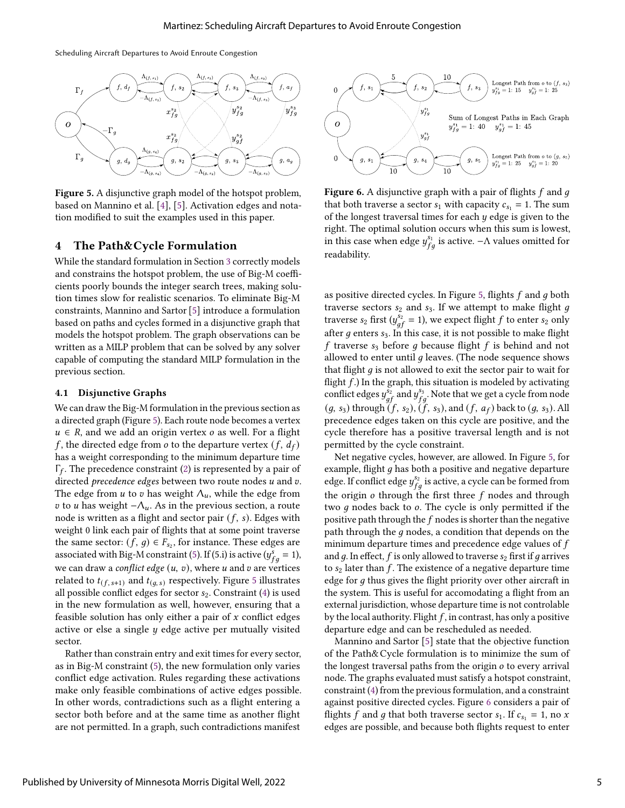Scheduling Aircraft Departures to Avoid Enroute Congestion

<span id="page-5-1"></span>

Figure 5. A disjunctive graph model of the hotspot problem, based on Mannino et al. [\[4\]](#page-6-0), [\[5\]](#page-6-1). Activation edges and notation modified to suit the examples used in this paper.

### <span id="page-5-0"></span>4 The Path&Cycle Formulation

While the standard formulation in Section [3](#page-2-0) correctly models and constrains the hotspot problem, the use of Big-M coefficients poorly bounds the integer search trees, making solution times slow for realistic scenarios. To eliminate Big-M constraints, Mannino and Sartor [\[5\]](#page-6-1) introduce a formulation based on paths and cycles formed in a disjunctive graph that models the hotspot problem. The graph observations can be written as a MILP problem that can be solved by any solver capable of computing the standard MILP formulation in the previous section.

#### 4.1 Disjunctive Graphs

We can draw the Big-M formulation in the previous section as a directed graph (Figure [5\)](#page-5-1). Each route node becomes a vertex  $u \in R$ , and we add an origin vertex *o* as well. For a flight f, the directed edge from o to the departure vertex  $(f, d_f)$ has a weight corresponding to the minimum departure time  $\Gamma_f$ . The precedence constraint [\(2\)](#page-3-5) is represented by a pair of directed precedence edges between two route nodes  $u$  and  $v$ . The edge from  $u$  to  $v$  has weight  $\Lambda_u$ , while the edge from *v* to *u* has weight  $-\Lambda_u$ . As in the previous section, a route node is written as a flight and sector pair  $(f, s)$ . Edges with weight 0 link each pair of flights that at some point traverse the same sector:  $(f, g) \in F_{s_2}$ , for instance. These edges are associated with Big-M constraint [\(5\)](#page-4-4). If (5.i) is active  $(y_{fa}^s = 1)$ , we can draw a *conflict edge*  $(u, v)$ , where  $u$  and  $v$  are vertices related to  $t_{(f, s+1)}$  and  $t_{(g, s)}$  respectively. Figure [5](#page-5-1) illustrates all possible conflict edges for sector  $s_2$ . Constraint [\(4\)](#page-4-3) is used in the new formulation as well, however, ensuring that a feasible solution has only either a pair of  $x$  conflict edges active or else a single  $y$  edge active per mutually visited sector.

Rather than constrain entry and exit times for every sector, as in Big-M constraint [\(5\)](#page-4-4), the new formulation only varies conflict edge activation. Rules regarding these activations make only feasible combinations of active edges possible. In other words, contradictions such as a flight entering a sector both before and at the same time as another flight are not permitted. In a graph, such contradictions manifest

<span id="page-5-2"></span>

Figure 6. A disjunctive graph with a pair of flights  $f$  and  $g$ that both traverse a sector  $s_1$  with capacity  $c_{s_1} = 1$ . The sum of the longest traversal times for each  $y$  edge is given to the right. The optimal solution occurs when this sum is lowest, in this case when edge  $y_{fa}^{s_1}$  is active. -  $\Lambda$  values omitted for readability.

as positive directed cycles. In Figure [5,](#page-5-1) flights  $f$  and  $g$  both traverse sectors  $s_2$  and  $s_3$ . If we attempt to make flight  $g$ traverse  $s_2$  first  $(y_{af}^{s_2} = 1)$ , we expect flight f to enter  $s_2$  only after  $g$  enters  $s_3$ . In this case, it is not possible to make flight f traverse  $s_3$  before g because flight f is behind and not allowed to enter until  $q$  leaves. (The node sequence shows that flight  $g$  is not allowed to exit the sector pair to wait for flight  $f$ .) In the graph, this situation is modeled by activating conflict edges  $y_{af}^{s_2}$  and  $y_{fa}^{s_3}$ . Note that we get a cycle from node  $(g, s_3)$  through  $(f, s_2)$ ,  $(f, s_3)$ , and  $(f, a_f)$  back to  $(g, s_3)$ . All precedence edges taken on this cycle are positive, and the cycle therefore has a positive traversal length and is not permitted by the cycle constraint.

Net negative cycles, however, are allowed. In Figure [5,](#page-5-1) for example, flight  $g$  has both a positive and negative departure edge. If conflict edge  $y_{fa}^{s_2}$  is active, a cycle can be formed from the origin  $\rho$  through the first three  $f$  nodes and through two  $q$  nodes back to  $o$ . The cycle is only permitted if the positive path through the  $f$  nodes is shorter than the negative path through the  $q$  nodes, a condition that depends on the minimum departure times and precedence edge values of  $f$ and  $q$ . In effect,  $f$  is only allowed to traverse  $s_2$  first if  $q$  arrives to  $s_2$  later than  $f$ . The existence of a negative departure time edge for  $q$  thus gives the flight priority over other aircraft in the system. This is useful for accomodating a flight from an external jurisdiction, whose departure time is not controlable by the local authority. Flight  $f$ , in contrast, has only a positive departure edge and can be rescheduled as needed.

Mannino and Sartor [\[5\]](#page-6-1) state that the objective function of the Path&Cycle formulation is to minimize the sum of the longest traversal paths from the origin  $o$  to every arrival node. The graphs evaluated must satisfy a hotspot constraint, constraint [\(4\)](#page-4-3) from the previous formulation, and a constraint against positive directed cycles. Figure [6](#page-5-2) considers a pair of flights f and g that both traverse sector  $s_1$ . If  $c_{s_1} = 1$ , no x edges are possible, and because both flights request to enter